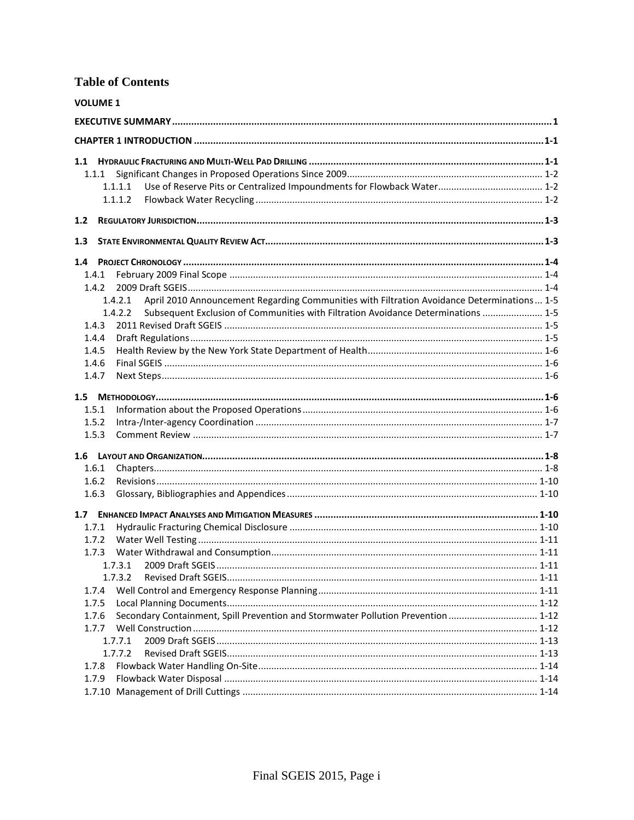# **Table of Contents**

| <b>VOLUME 1</b>                                                                                       |  |
|-------------------------------------------------------------------------------------------------------|--|
|                                                                                                       |  |
|                                                                                                       |  |
|                                                                                                       |  |
| 1.1.1                                                                                                 |  |
| 1.1.1.1                                                                                               |  |
| 1.1.1.2                                                                                               |  |
| 1.2                                                                                                   |  |
| 1.3                                                                                                   |  |
|                                                                                                       |  |
| 1.4.1                                                                                                 |  |
| 1.4.2                                                                                                 |  |
| April 2010 Announcement Regarding Communities with Filtration Avoidance Determinations 1-5<br>1.4.2.1 |  |
| Subsequent Exclusion of Communities with Filtration Avoidance Determinations  1-5<br>1.4.2.2          |  |
| 1.4.3                                                                                                 |  |
| 1.4.4                                                                                                 |  |
| 1.4.5                                                                                                 |  |
| 1.4.6                                                                                                 |  |
| 1.4.7                                                                                                 |  |
|                                                                                                       |  |
| 1.5.1                                                                                                 |  |
| 1.5.2                                                                                                 |  |
| 1.5.3                                                                                                 |  |
|                                                                                                       |  |
| 1.6.1                                                                                                 |  |
| 1.6.2                                                                                                 |  |
| 1.6.3                                                                                                 |  |
|                                                                                                       |  |
| 1.7.1                                                                                                 |  |
| 1.7.2                                                                                                 |  |
| 1.7.3                                                                                                 |  |
|                                                                                                       |  |
| 1.7.3.2                                                                                               |  |
| 1.7.4                                                                                                 |  |
| 1.7.5                                                                                                 |  |
| Secondary Containment, Spill Prevention and Stormwater Pollution Prevention  1-12<br>1.7.6            |  |
| 1.7.7                                                                                                 |  |
| 1.7.7.1                                                                                               |  |
| 1.7.7.2                                                                                               |  |
| 1.7.8                                                                                                 |  |
| 1.7.9                                                                                                 |  |
|                                                                                                       |  |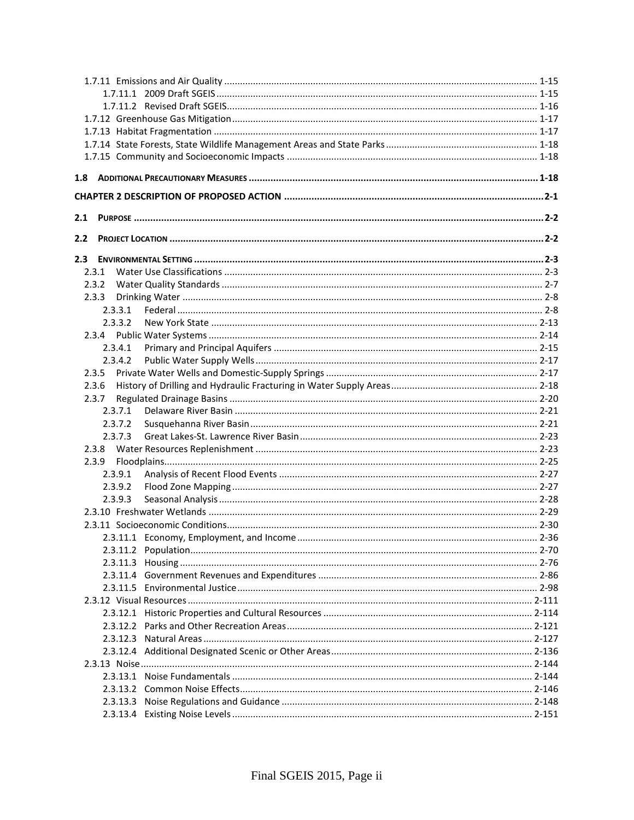| 2.1 |         |  |
|-----|---------|--|
| 2.2 |         |  |
| 2.3 |         |  |
|     | 2.3.1   |  |
|     | 2.3.2   |  |
|     | 2.3.3   |  |
|     | 2.3.3.1 |  |
|     | 2.3.3.2 |  |
|     |         |  |
|     | 2.3.4.1 |  |
|     | 2.3.4.2 |  |
|     | 2.3.5   |  |
|     | 2.3.6   |  |
|     | 2.3.7   |  |
|     | 2.3.7.1 |  |
|     | 2.3.7.2 |  |
|     | 2.3.7.3 |  |
|     | 2.3.8   |  |
|     | 2.3.9   |  |
|     | 2.3.9.1 |  |
|     | 2.3.9.2 |  |
|     | 2.3.9.3 |  |
|     |         |  |
|     |         |  |
|     |         |  |
|     |         |  |
|     |         |  |
|     |         |  |
|     |         |  |
|     |         |  |
|     |         |  |
|     |         |  |
|     |         |  |
|     |         |  |
|     |         |  |
|     |         |  |
|     |         |  |
|     |         |  |
|     |         |  |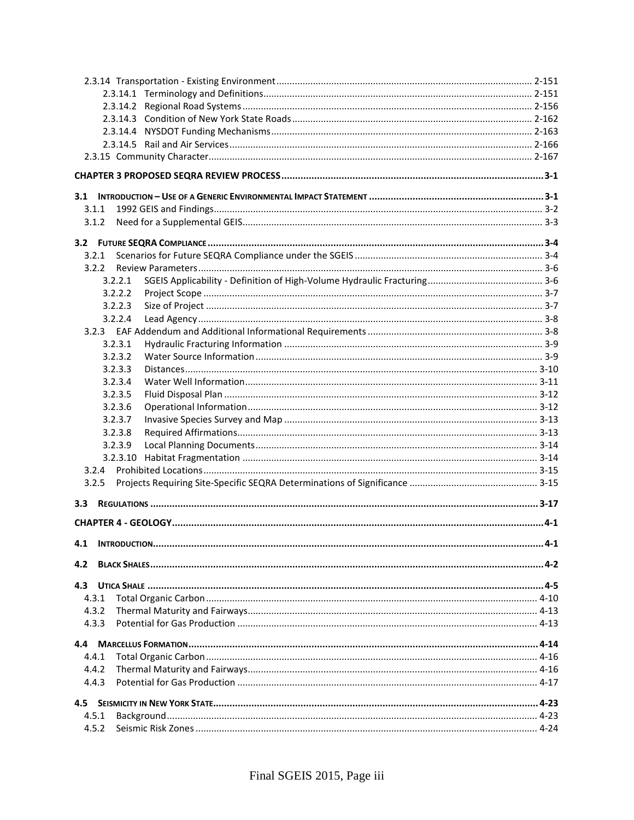| 3.1.1              |  |
|--------------------|--|
| 3.1.2              |  |
|                    |  |
|                    |  |
| 3.2.1              |  |
| 3.2.2              |  |
| 3.2.2.1<br>3.2.2.2 |  |
| 3.2.2.3            |  |
| 3.2.2.4            |  |
|                    |  |
| 3.2.3.1            |  |
| 3.2.3.2            |  |
| 3.2.3.3            |  |
| 3.2.3.4            |  |
| 3.2.3.5            |  |
| 3.2.3.6            |  |
| 3.2.3.7            |  |
| 3.2.3.8            |  |
| 3.2.3.9            |  |
| 3.2.3.10           |  |
| 3.2.4              |  |
| 3.2.5              |  |
| 3.3 <sub>1</sub>   |  |
|                    |  |
| 4.1                |  |
| 4.2                |  |
|                    |  |
| 4.3                |  |
| 4.3.1              |  |
| 4.3.2<br>4.3.3     |  |
|                    |  |
|                    |  |
| 4.4.1              |  |
| 4.4.2              |  |
| 4.4.3              |  |
| 4.5                |  |
| 4.5.1              |  |
| 4.5.2              |  |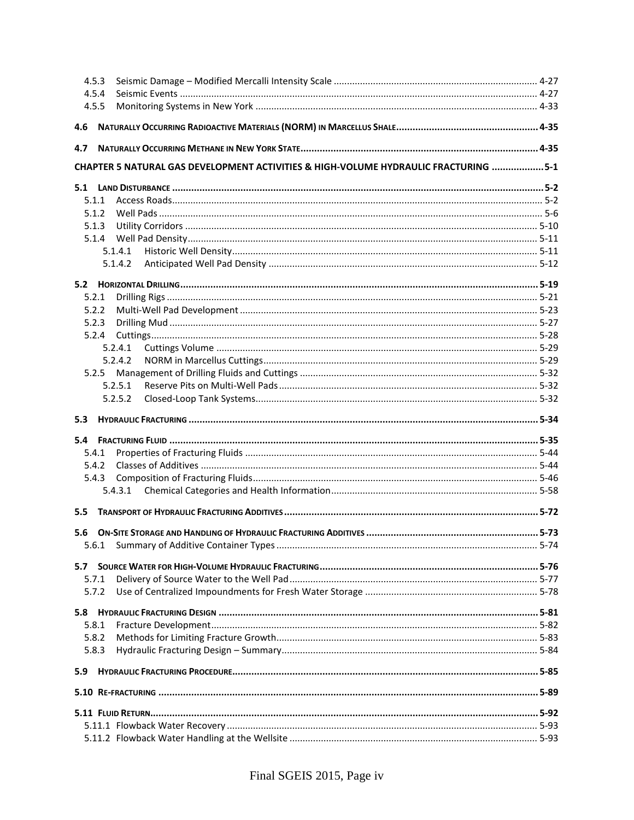| 4.5.4                                                                                |  |
|--------------------------------------------------------------------------------------|--|
| 4.5.5                                                                                |  |
| 4.6                                                                                  |  |
| 4.7                                                                                  |  |
| CHAPTER 5 NATURAL GAS DEVELOPMENT ACTIVITIES & HIGH-VOLUME HYDRAULIC FRACTURING  5-1 |  |
|                                                                                      |  |
| 5.1.1                                                                                |  |
| 5.1.2                                                                                |  |
| 5.1.3                                                                                |  |
|                                                                                      |  |
| 5.1.4.1                                                                              |  |
| 5.1.4.2                                                                              |  |
|                                                                                      |  |
| 5.2.1                                                                                |  |
| 5.2.2                                                                                |  |
| 5.2.3                                                                                |  |
| 5.2.4                                                                                |  |
| 5.2.4.1                                                                              |  |
| 5.2.4.2                                                                              |  |
| 5.2.5                                                                                |  |
| 5.2.5.1                                                                              |  |
| 5.2.5.2                                                                              |  |
| 5.3                                                                                  |  |
|                                                                                      |  |
|                                                                                      |  |
| 5.4.1                                                                                |  |
| 5.4.2                                                                                |  |
| 5.4.3                                                                                |  |
|                                                                                      |  |
| 5.5                                                                                  |  |
| 5.6                                                                                  |  |
| 5.6.1                                                                                |  |
|                                                                                      |  |
| 5.7.1                                                                                |  |
| 5.7.2                                                                                |  |
|                                                                                      |  |
| 5.8.1                                                                                |  |
| 5.8.2                                                                                |  |
| 5.8.3                                                                                |  |
| 5.9                                                                                  |  |
|                                                                                      |  |
|                                                                                      |  |
|                                                                                      |  |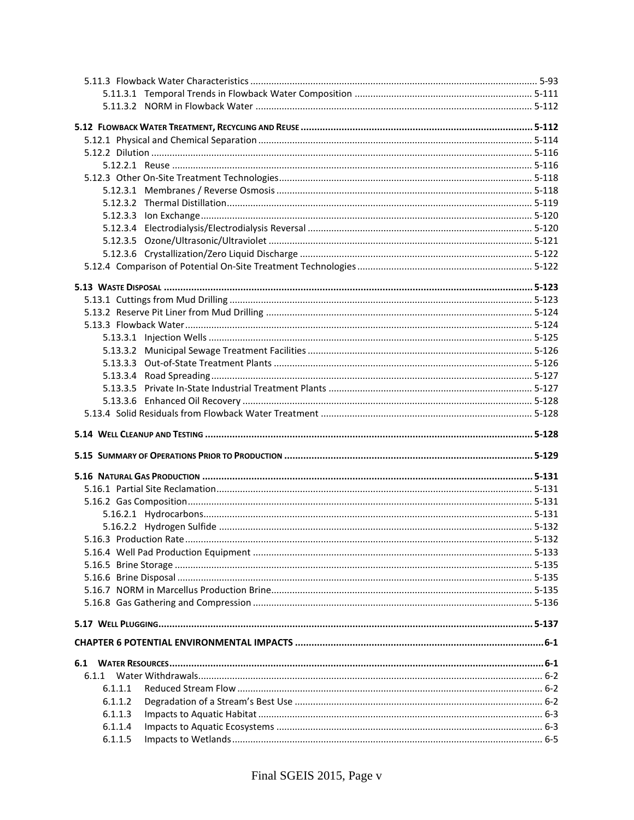| 6.1.1              |  |
|--------------------|--|
| 6.1.1.1            |  |
| 6.1.1.2            |  |
|                    |  |
| 6.1.1.3<br>6.1.1.4 |  |
| 6.1.1.5            |  |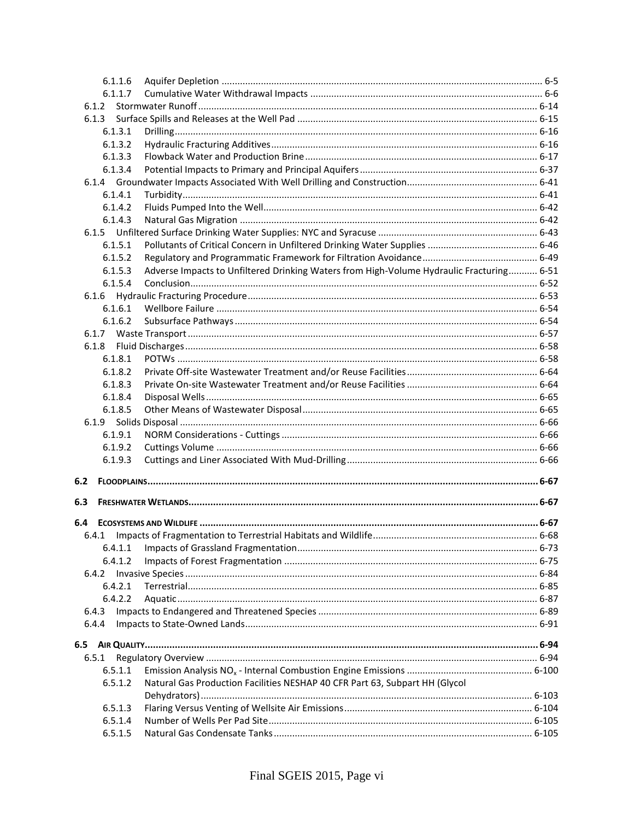| 6.1.1.6 |                                                                                          |  |
|---------|------------------------------------------------------------------------------------------|--|
| 6.1.1.7 |                                                                                          |  |
| 6.1.2   |                                                                                          |  |
| 6.1.3   |                                                                                          |  |
| 6.1.3.1 |                                                                                          |  |
| 6.1.3.2 |                                                                                          |  |
| 6.1.3.3 |                                                                                          |  |
| 6.1.3.4 |                                                                                          |  |
|         |                                                                                          |  |
| 6.1.4.1 |                                                                                          |  |
| 6.1.4.2 |                                                                                          |  |
| 6.1.4.3 |                                                                                          |  |
|         |                                                                                          |  |
| 6.1.5   |                                                                                          |  |
| 6.1.5.1 |                                                                                          |  |
| 6.1.5.2 |                                                                                          |  |
| 6.1.5.3 | Adverse Impacts to Unfiltered Drinking Waters from High-Volume Hydraulic Fracturing 6-51 |  |
| 6.1.5.4 |                                                                                          |  |
| 6.1.6   |                                                                                          |  |
| 6.1.6.1 |                                                                                          |  |
| 6.1.6.2 |                                                                                          |  |
| 6.1.7   |                                                                                          |  |
| 6.1.8   |                                                                                          |  |
| 6.1.8.1 |                                                                                          |  |
| 6.1.8.2 |                                                                                          |  |
| 6.1.8.3 |                                                                                          |  |
| 6.1.8.4 |                                                                                          |  |
| 6.1.8.5 |                                                                                          |  |
|         |                                                                                          |  |
| 6.1.9.1 |                                                                                          |  |
| 6.1.9.2 |                                                                                          |  |
| 6.1.9.3 |                                                                                          |  |
|         |                                                                                          |  |
| 6.2     |                                                                                          |  |
|         |                                                                                          |  |
| 6.3     |                                                                                          |  |
|         |                                                                                          |  |
| 6.4.1   |                                                                                          |  |
| 6.4.1.1 |                                                                                          |  |
|         |                                                                                          |  |
| 6.4.1.2 |                                                                                          |  |
| 6.4.2   |                                                                                          |  |
| 6.4.2.1 |                                                                                          |  |
| 6.4.2.2 |                                                                                          |  |
| 6.4.3   |                                                                                          |  |
| 6.4.4   |                                                                                          |  |
|         |                                                                                          |  |
|         |                                                                                          |  |
| 6.5.1   |                                                                                          |  |
| 6.5.1.1 |                                                                                          |  |
| 6.5.1.2 | Natural Gas Production Facilities NESHAP 40 CFR Part 63, Subpart HH (Glycol              |  |
|         |                                                                                          |  |
| 6.5.1.3 |                                                                                          |  |
| 6.5.1.4 |                                                                                          |  |
| 6.5.1.5 |                                                                                          |  |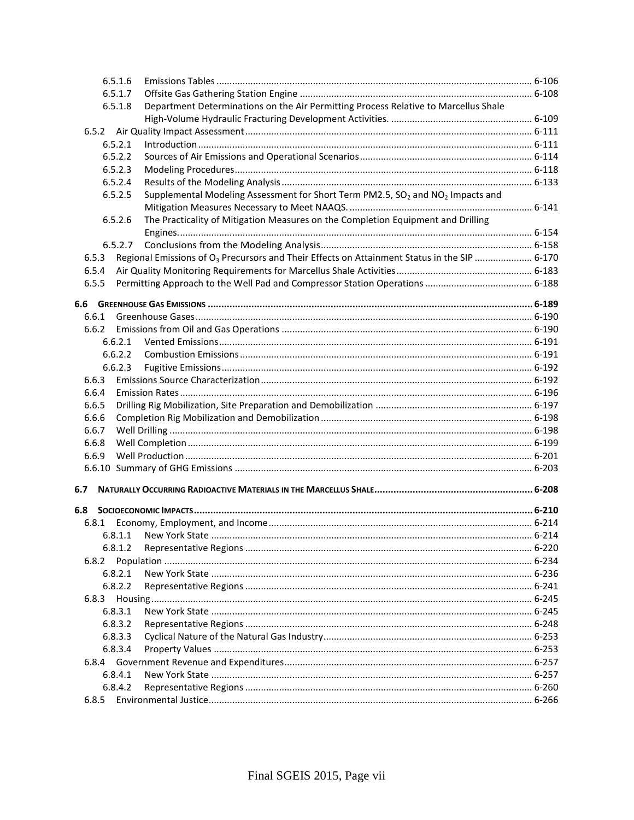| 6.5.1.6 |                                                                                                          |  |
|---------|----------------------------------------------------------------------------------------------------------|--|
| 6.5.1.7 |                                                                                                          |  |
| 6.5.1.8 | Department Determinations on the Air Permitting Process Relative to Marcellus Shale                      |  |
|         |                                                                                                          |  |
|         |                                                                                                          |  |
| 6.5.2.1 |                                                                                                          |  |
| 6.5.2.2 |                                                                                                          |  |
| 6.5.2.3 |                                                                                                          |  |
| 6.5.2.4 |                                                                                                          |  |
| 6.5.2.5 | Supplemental Modeling Assessment for Short Term PM2.5, SO <sub>2</sub> and NO <sub>2</sub> Impacts and   |  |
|         |                                                                                                          |  |
| 6.5.2.6 | The Practicality of Mitigation Measures on the Completion Equipment and Drilling                         |  |
|         |                                                                                                          |  |
| 6.5.2.7 |                                                                                                          |  |
| 6.5.3   | Regional Emissions of O <sub>3</sub> Precursors and Their Effects on Attainment Status in the SIP  6-170 |  |
| 6.5.4   |                                                                                                          |  |
| 6.5.5   |                                                                                                          |  |
|         |                                                                                                          |  |
|         |                                                                                                          |  |
| 6.6.1   |                                                                                                          |  |
| 6.6.2   |                                                                                                          |  |
| 6.6.2.1 |                                                                                                          |  |
| 6.6.2.2 |                                                                                                          |  |
| 6.6.2.3 |                                                                                                          |  |
| 6.6.3   |                                                                                                          |  |
| 6.6.4   |                                                                                                          |  |
| 6.6.5   |                                                                                                          |  |
| 6.6.6   |                                                                                                          |  |
| 6.6.7   |                                                                                                          |  |
| 6.6.8   |                                                                                                          |  |
| 6.6.9   |                                                                                                          |  |
|         |                                                                                                          |  |
| 6.7     |                                                                                                          |  |
|         |                                                                                                          |  |
| 6.8     |                                                                                                          |  |
| 6.8.1   |                                                                                                          |  |
| 6.8.1.1 |                                                                                                          |  |
| 6.8.1.2 |                                                                                                          |  |
| 6.8.2   |                                                                                                          |  |
| 6.8.2.1 |                                                                                                          |  |
| 6.8.2.2 |                                                                                                          |  |
| 6.8.3   |                                                                                                          |  |
| 6.8.3.1 |                                                                                                          |  |
| 6.8.3.2 |                                                                                                          |  |
| 6.8.3.3 |                                                                                                          |  |
| 6.8.3.4 |                                                                                                          |  |
|         |                                                                                                          |  |
| 6.8.4.1 |                                                                                                          |  |
| 6.8.4.2 |                                                                                                          |  |
| 6.8.5   |                                                                                                          |  |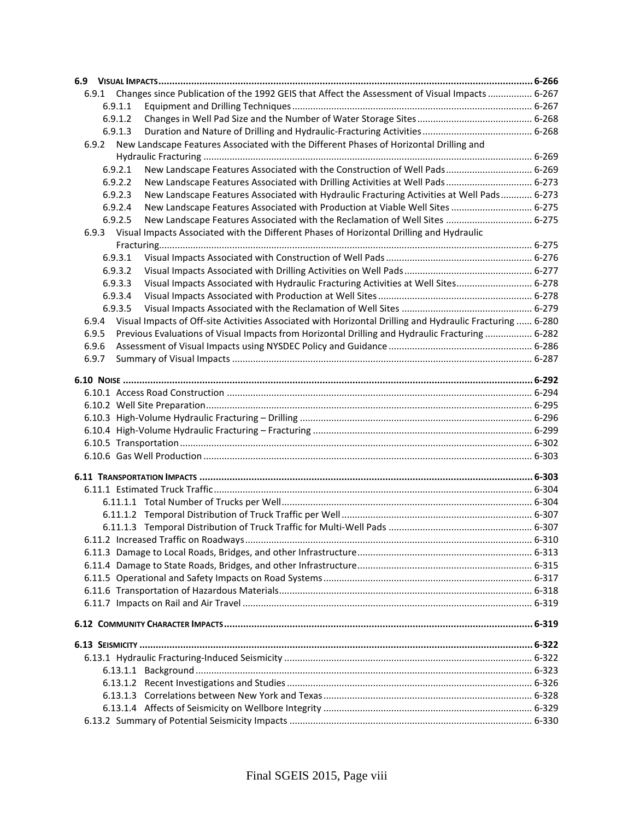| Changes since Publication of the 1992 GEIS that Affect the Assessment of Visual Impacts 6-267<br>6.9.1             |  |
|--------------------------------------------------------------------------------------------------------------------|--|
| 6.9.1.1                                                                                                            |  |
| 6.9.1.2                                                                                                            |  |
| 6.9.1.3                                                                                                            |  |
| New Landscape Features Associated with the Different Phases of Horizontal Drilling and<br>6.9.2                    |  |
|                                                                                                                    |  |
| New Landscape Features Associated with the Construction of Well Pads 6-269<br>6.9.2.1                              |  |
| New Landscape Features Associated with Drilling Activities at Well Pads 6-273<br>6.9.2.2                           |  |
| New Landscape Features Associated with Hydraulic Fracturing Activities at Well Pads 6-273<br>6.9.2.3               |  |
| New Landscape Features Associated with Production at Viable Well Sites  6-275<br>6.9.2.4                           |  |
| New Landscape Features Associated with the Reclamation of Well Sites  6-275<br>6.9.2.5                             |  |
| 6.9.3 Visual Impacts Associated with the Different Phases of Horizontal Drilling and Hydraulic                     |  |
|                                                                                                                    |  |
| 6.9.3.1                                                                                                            |  |
| 6.9.3.2                                                                                                            |  |
| Visual Impacts Associated with Hydraulic Fracturing Activities at Well Sites 6-278<br>6.9.3.3                      |  |
| 6.9.3.4                                                                                                            |  |
| 6.9.3.5                                                                                                            |  |
| Visual Impacts of Off-site Activities Associated with Horizontal Drilling and Hydraulic Fracturing  6-280<br>6.9.4 |  |
| Previous Evaluations of Visual Impacts from Horizontal Drilling and Hydraulic Fracturing  6-282<br>6.9.5           |  |
| 6.9.6                                                                                                              |  |
| 6.9.7                                                                                                              |  |
|                                                                                                                    |  |
|                                                                                                                    |  |
|                                                                                                                    |  |
|                                                                                                                    |  |
|                                                                                                                    |  |
|                                                                                                                    |  |
|                                                                                                                    |  |
|                                                                                                                    |  |
|                                                                                                                    |  |
|                                                                                                                    |  |
|                                                                                                                    |  |
|                                                                                                                    |  |
|                                                                                                                    |  |
|                                                                                                                    |  |
|                                                                                                                    |  |
|                                                                                                                    |  |
|                                                                                                                    |  |
|                                                                                                                    |  |
|                                                                                                                    |  |
|                                                                                                                    |  |
|                                                                                                                    |  |
|                                                                                                                    |  |
|                                                                                                                    |  |
|                                                                                                                    |  |
|                                                                                                                    |  |
|                                                                                                                    |  |
|                                                                                                                    |  |
|                                                                                                                    |  |
|                                                                                                                    |  |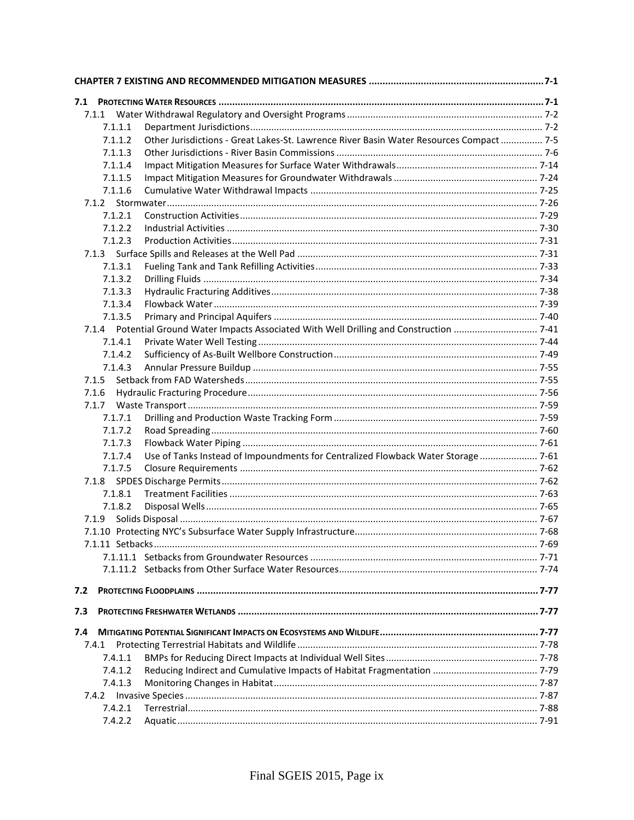| 7.1     |                                                                                         |  |
|---------|-----------------------------------------------------------------------------------------|--|
|         |                                                                                         |  |
| 7.1.1.1 |                                                                                         |  |
| 7.1.1.2 | Other Jurisdictions - Great Lakes-St. Lawrence River Basin Water Resources Compact  7-5 |  |
| 7.1.1.3 |                                                                                         |  |
| 7.1.1.4 |                                                                                         |  |
| 7.1.1.5 |                                                                                         |  |
| 7.1.1.6 |                                                                                         |  |
|         |                                                                                         |  |
| 7.1.2.1 |                                                                                         |  |
| 7.1.2.2 |                                                                                         |  |
| 7.1.2.3 |                                                                                         |  |
|         |                                                                                         |  |
| 7.1.3.1 |                                                                                         |  |
| 7.1.3.2 |                                                                                         |  |
| 7.1.3.3 |                                                                                         |  |
| 7.1.3.4 |                                                                                         |  |
| 7.1.3.5 |                                                                                         |  |
| 7.1.4.1 |                                                                                         |  |
| 7.1.4.2 |                                                                                         |  |
| 7.1.4.3 |                                                                                         |  |
| 7.1.5   |                                                                                         |  |
| 7.1.6   |                                                                                         |  |
| 7.1.7   |                                                                                         |  |
| 7.1.7.1 |                                                                                         |  |
| 7.1.7.2 |                                                                                         |  |
| 7.1.7.3 |                                                                                         |  |
| 7.1.7.4 | Use of Tanks Instead of Impoundments for Centralized Flowback Water Storage  7-61       |  |
| 7.1.7.5 |                                                                                         |  |
|         |                                                                                         |  |
| 7.1.8.1 |                                                                                         |  |
| 7.1.8.2 |                                                                                         |  |
| 7.1.9   |                                                                                         |  |
|         |                                                                                         |  |
|         |                                                                                         |  |
|         |                                                                                         |  |
|         |                                                                                         |  |
| 7.2     |                                                                                         |  |
| 7.3     |                                                                                         |  |
| 7.4     |                                                                                         |  |
| 7.4.1   |                                                                                         |  |
| 7.4.1.1 |                                                                                         |  |
| 7.4.1.2 |                                                                                         |  |
| 7.4.1.3 |                                                                                         |  |
|         |                                                                                         |  |
| 7.4.2.1 |                                                                                         |  |
| 7.4.2.2 |                                                                                         |  |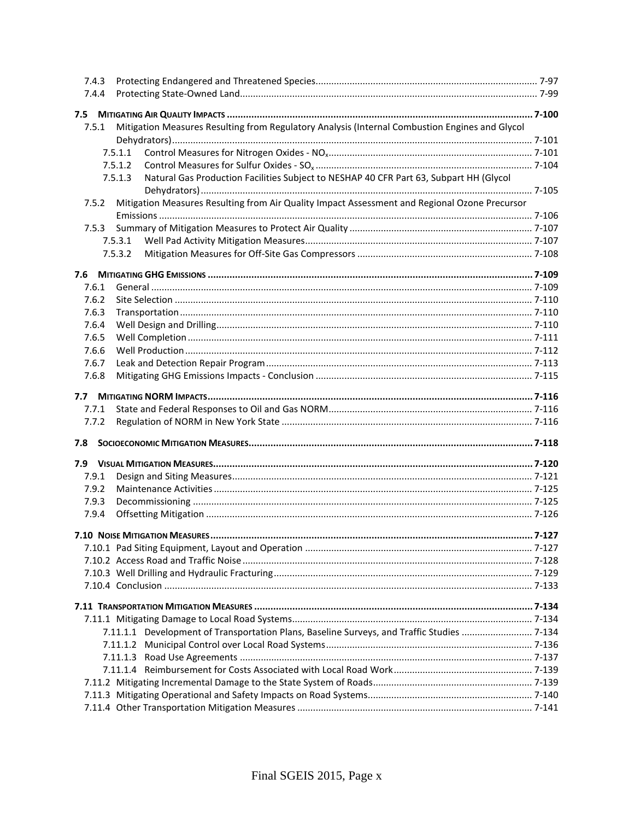| 7.4.3                                                                                                   |         |
|---------------------------------------------------------------------------------------------------------|---------|
| 7.4.4                                                                                                   |         |
|                                                                                                         |         |
| Mitigation Measures Resulting from Regulatory Analysis (Internal Combustion Engines and Glycol<br>7.5.1 |         |
|                                                                                                         |         |
| 7.5.1.1                                                                                                 |         |
| 7.5.1.2                                                                                                 |         |
| Natural Gas Production Facilities Subject to NESHAP 40 CFR Part 63, Subpart HH (Glycol<br>7.5.1.3       |         |
|                                                                                                         |         |
| Mitigation Measures Resulting from Air Quality Impact Assessment and Regional Ozone Precursor<br>7.5.2  |         |
|                                                                                                         |         |
| 7.5.3                                                                                                   |         |
| 7.5.3.1                                                                                                 |         |
| 7.5.3.2                                                                                                 |         |
|                                                                                                         |         |
|                                                                                                         |         |
| 7.6.1                                                                                                   |         |
| 7.6.2                                                                                                   |         |
| 7.6.3                                                                                                   |         |
| 7.6.4                                                                                                   |         |
| 7.6.5                                                                                                   |         |
| 7.6.6                                                                                                   |         |
| 7.6.7                                                                                                   |         |
| 7.6.8                                                                                                   |         |
|                                                                                                         |         |
| 7.7                                                                                                     |         |
| 7.7.1                                                                                                   |         |
| 7.7.2                                                                                                   |         |
| 7.8                                                                                                     |         |
|                                                                                                         |         |
|                                                                                                         |         |
| 7.9.1                                                                                                   |         |
| 7.9.2                                                                                                   |         |
| 7.9.3                                                                                                   |         |
| 7.9.4                                                                                                   |         |
|                                                                                                         | . 7-127 |
|                                                                                                         |         |
|                                                                                                         |         |
|                                                                                                         |         |
|                                                                                                         |         |
|                                                                                                         |         |
|                                                                                                         |         |
|                                                                                                         |         |
| 7.11.1.1 Development of Transportation Plans, Baseline Surveys, and Traffic Studies  7-134              |         |
|                                                                                                         |         |
|                                                                                                         |         |
|                                                                                                         |         |
|                                                                                                         |         |
|                                                                                                         |         |
|                                                                                                         |         |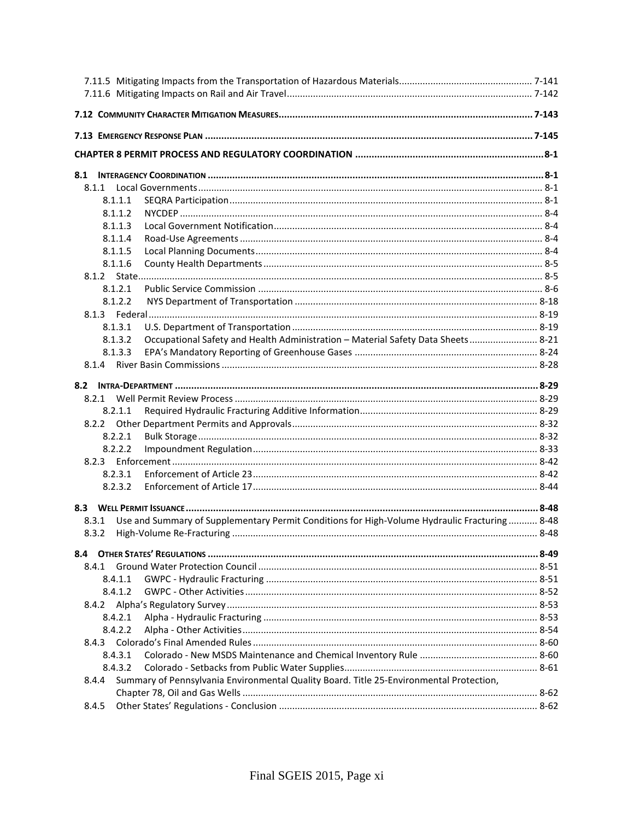| 8.1.1                                                                                                  |  |
|--------------------------------------------------------------------------------------------------------|--|
| 8.1.1.1                                                                                                |  |
| 8.1.1.2                                                                                                |  |
| 8.1.1.3                                                                                                |  |
| 8.1.1.4                                                                                                |  |
| 8.1.1.5                                                                                                |  |
| 8.1.1.6                                                                                                |  |
|                                                                                                        |  |
| 8.1.2.1                                                                                                |  |
| 8.1.2.2                                                                                                |  |
|                                                                                                        |  |
| 8.1.3.1<br>8.1.3.2                                                                                     |  |
| Occupational Safety and Health Administration - Material Safety Data Sheets 8-21<br>8.1.3.3            |  |
|                                                                                                        |  |
|                                                                                                        |  |
|                                                                                                        |  |
| 8.2.1                                                                                                  |  |
| 8.2.1.1                                                                                                |  |
|                                                                                                        |  |
| 8.2.2.1                                                                                                |  |
| 8.2.2.2                                                                                                |  |
|                                                                                                        |  |
| 8.2.3.1                                                                                                |  |
| 8.2.3.2                                                                                                |  |
|                                                                                                        |  |
| Use and Summary of Supplementary Permit Conditions for High-Volume Hydraulic Fracturing  8-48<br>8.3.1 |  |
| 8.3.2                                                                                                  |  |
|                                                                                                        |  |
|                                                                                                        |  |
| 8.4.1                                                                                                  |  |
| 8.4.1.1                                                                                                |  |
| 8.4.1.2                                                                                                |  |
| 8.4.2                                                                                                  |  |
| 8.4.2.1                                                                                                |  |
| 8.4.2.2                                                                                                |  |
| 8.4.3                                                                                                  |  |
| 8.4.3.1                                                                                                |  |
| 8.4.3.2                                                                                                |  |
| Summary of Pennsylvania Environmental Quality Board. Title 25-Environmental Protection,<br>8.4.4       |  |
|                                                                                                        |  |
| 8.4.5                                                                                                  |  |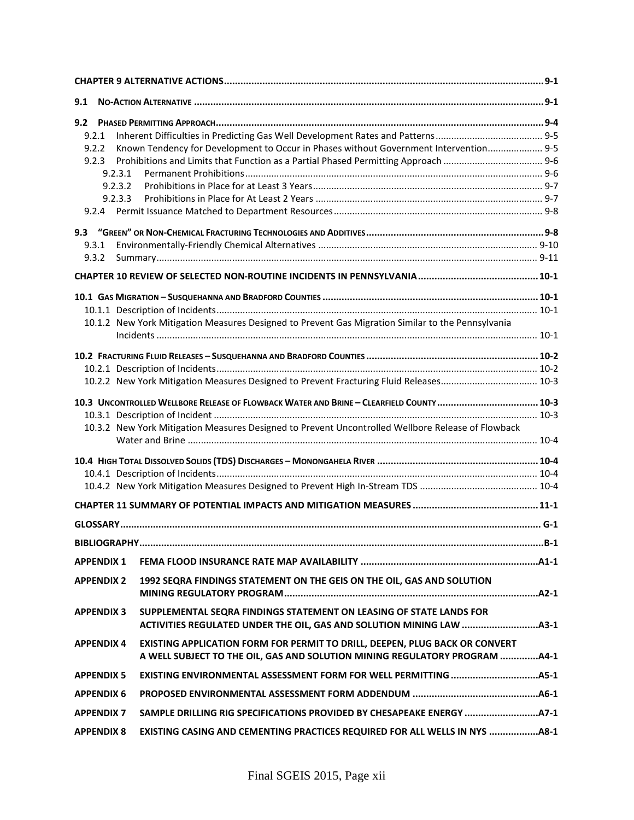| 9.1               |                                                                                                                                                           |  |
|-------------------|-----------------------------------------------------------------------------------------------------------------------------------------------------------|--|
| 9.2               |                                                                                                                                                           |  |
| 9.2.1             |                                                                                                                                                           |  |
| 9.2.2             | Known Tendency for Development to Occur in Phases without Government Intervention 9-5                                                                     |  |
| 9.2.3             |                                                                                                                                                           |  |
| 9.2.3.1           |                                                                                                                                                           |  |
| 9.2.3.2           |                                                                                                                                                           |  |
| 9.2.3.3           |                                                                                                                                                           |  |
|                   |                                                                                                                                                           |  |
|                   |                                                                                                                                                           |  |
| 9.3.1             |                                                                                                                                                           |  |
| 9.3.2             |                                                                                                                                                           |  |
|                   |                                                                                                                                                           |  |
|                   |                                                                                                                                                           |  |
|                   |                                                                                                                                                           |  |
|                   | 10.1.2 New York Mitigation Measures Designed to Prevent Gas Migration Similar to the Pennsylvania                                                         |  |
|                   |                                                                                                                                                           |  |
|                   |                                                                                                                                                           |  |
|                   |                                                                                                                                                           |  |
|                   |                                                                                                                                                           |  |
|                   | 10.3 UNCONTROLLED WELLBORE RELEASE OF FLOWBACK WATER AND BRINE - CLEARFIELD COUNTY  10-3                                                                  |  |
|                   |                                                                                                                                                           |  |
|                   | 10.3.2 New York Mitigation Measures Designed to Prevent Uncontrolled Wellbore Release of Flowback                                                         |  |
|                   |                                                                                                                                                           |  |
|                   |                                                                                                                                                           |  |
|                   |                                                                                                                                                           |  |
|                   |                                                                                                                                                           |  |
|                   |                                                                                                                                                           |  |
|                   |                                                                                                                                                           |  |
| <b>APPENDIX 1</b> |                                                                                                                                                           |  |
| <b>APPENDIX 2</b> | 1992 SEQRA FINDINGS STATEMENT ON THE GEIS ON THE OIL, GAS AND SOLUTION                                                                                    |  |
| <b>APPENDIX 3</b> | SUPPLEMENTAL SEQRA FINDINGS STATEMENT ON LEASING OF STATE LANDS FOR                                                                                       |  |
| <b>APPENDIX 4</b> | EXISTING APPLICATION FORM FOR PERMIT TO DRILL, DEEPEN, PLUG BACK OR CONVERT<br>A WELL SUBJECT TO THE OIL, GAS AND SOLUTION MINING REGULATORY PROGRAM 44-1 |  |
| <b>APPENDIX 5</b> |                                                                                                                                                           |  |
| <b>APPENDIX 6</b> |                                                                                                                                                           |  |
| <b>APPENDIX 7</b> | SAMPLE DRILLING RIG SPECIFICATIONS PROVIDED BY CHESAPEAKE ENERGY  A7-1                                                                                    |  |
| <b>APPENDIX 8</b> | EXISTING CASING AND CEMENTING PRACTICES REQUIRED FOR ALL WELLS IN NYS 48-1                                                                                |  |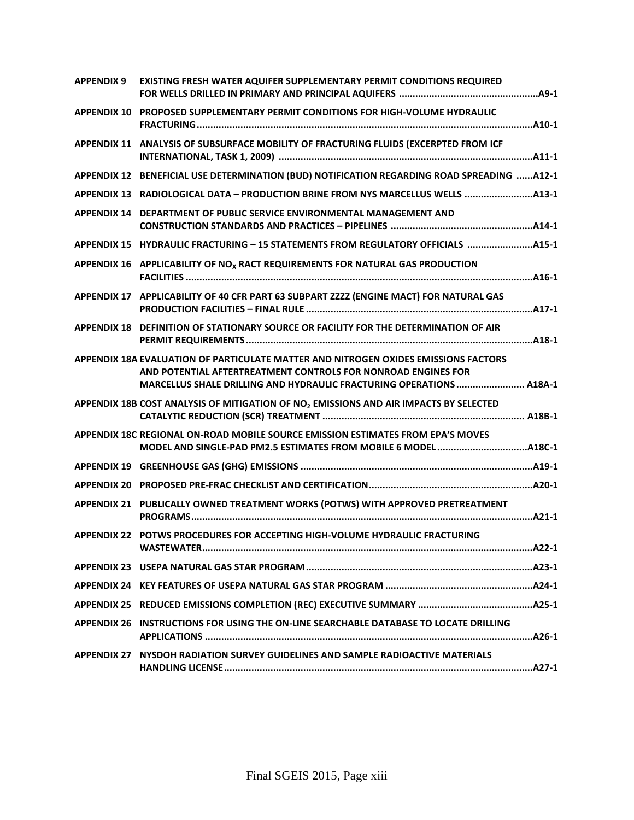| <b>APPENDIX 9</b> | EXISTING FRESH WATER AQUIFER SUPPLEMENTARY PERMIT CONDITIONS REQUIRED                                                                                                                                                        |
|-------------------|------------------------------------------------------------------------------------------------------------------------------------------------------------------------------------------------------------------------------|
|                   | APPENDIX 10 PROPOSED SUPPLEMENTARY PERMIT CONDITIONS FOR HIGH-VOLUME HYDRAULIC                                                                                                                                               |
|                   | APPENDIX 11 ANALYSIS OF SUBSURFACE MOBILITY OF FRACTURING FLUIDS (EXCERPTED FROM ICF                                                                                                                                         |
|                   | APPENDIX 12 BENEFICIAL USE DETERMINATION (BUD) NOTIFICATION REGARDING ROAD SPREADING A12-1                                                                                                                                   |
|                   | APPENDIX 13 RADIOLOGICAL DATA - PRODUCTION BRINE FROM NYS MARCELLUS WELLS 413-1                                                                                                                                              |
|                   | APPENDIX 14 DEPARTMENT OF PUBLIC SERVICE ENVIRONMENTAL MANAGEMENT AND                                                                                                                                                        |
|                   | APPENDIX 15 HYDRAULIC FRACTURING - 15 STATEMENTS FROM REGULATORY OFFICIALS 415-1                                                                                                                                             |
|                   | APPENDIX 16 APPLICABILITY OF NO <sub>x</sub> RACT REQUIREMENTS FOR NATURAL GAS PRODUCTION                                                                                                                                    |
|                   | APPENDIX 17 APPLICABILITY OF 40 CFR PART 63 SUBPART ZZZZ (ENGINE MACT) FOR NATURAL GAS                                                                                                                                       |
|                   | APPENDIX 18 DEFINITION OF STATIONARY SOURCE OR FACILITY FOR THE DETERMINATION OF AIR                                                                                                                                         |
|                   | APPENDIX 18A EVALUATION OF PARTICULATE MATTER AND NITROGEN OXIDES EMISSIONS FACTORS<br>AND POTENTIAL AFTERTREATMENT CONTROLS FOR NONROAD ENGINES FOR<br>MARCELLUS SHALE DRILLING AND HYDRAULIC FRACTURING OPERATIONS  A18A-1 |
|                   | APPENDIX 18B COST ANALYSIS OF MITIGATION OF NO <sub>2</sub> EMISSIONS AND AIR IMPACTS BY SELECTED                                                                                                                            |
|                   | APPENDIX 18C REGIONAL ON-ROAD MOBILE SOURCE EMISSION ESTIMATES FROM EPA'S MOVES                                                                                                                                              |
|                   |                                                                                                                                                                                                                              |
|                   |                                                                                                                                                                                                                              |
|                   | APPENDIX 21 PUBLICALLY OWNED TREATMENT WORKS (POTWS) WITH APPROVED PRETREATMENT                                                                                                                                              |
|                   | APPENDIX 22 POTWS PROCEDURES FOR ACCEPTING HIGH-VOLUME HYDRAULIC FRACTURING                                                                                                                                                  |
|                   |                                                                                                                                                                                                                              |
|                   |                                                                                                                                                                                                                              |
|                   |                                                                                                                                                                                                                              |
|                   | APPENDIX 26 INSTRUCTIONS FOR USING THE ON-LINE SEARCHABLE DATABASE TO LOCATE DRILLING                                                                                                                                        |
|                   | APPENDIX 27 NYSDOH RADIATION SURVEY GUIDELINES AND SAMPLE RADIOACTIVE MATERIALS                                                                                                                                              |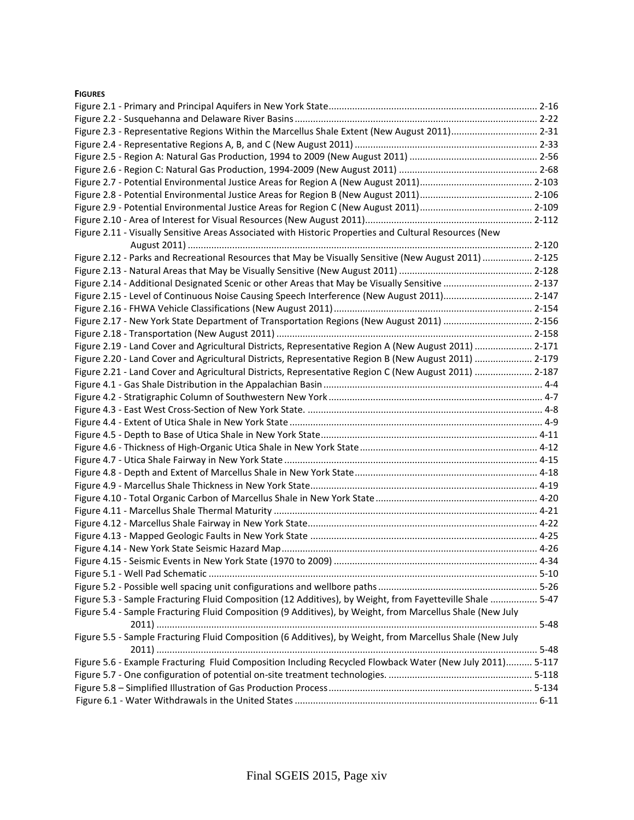#### **FIGURES**

| Figure 2.3 - Representative Regions Within the Marcellus Shale Extent (New August 2011) 2-31              |          |
|-----------------------------------------------------------------------------------------------------------|----------|
|                                                                                                           |          |
|                                                                                                           |          |
|                                                                                                           |          |
|                                                                                                           |          |
|                                                                                                           |          |
|                                                                                                           |          |
|                                                                                                           |          |
| Figure 2.11 - Visually Sensitive Areas Associated with Historic Properties and Cultural Resources (New    |          |
|                                                                                                           |          |
| Figure 2.12 - Parks and Recreational Resources that May be Visually Sensitive (New August 2011)  2-125    |          |
|                                                                                                           |          |
| Figure 2.14 - Additional Designated Scenic or other Areas that May be Visually Sensitive  2-137           |          |
| Figure 2.15 - Level of Continuous Noise Causing Speech Interference (New August 2011) 2-147               |          |
|                                                                                                           |          |
| Figure 2.17 - New York State Department of Transportation Regions (New August 2011)  2-156                |          |
|                                                                                                           |          |
| Figure 2.19 - Land Cover and Agricultural Districts, Representative Region A (New August 2011)  2-171     |          |
| Figure 2.20 - Land Cover and Agricultural Districts, Representative Region B (New August 2011)  2-179     |          |
| Figure 2.21 - Land Cover and Agricultural Districts, Representative Region C (New August 2011)  2-187     |          |
|                                                                                                           |          |
|                                                                                                           |          |
|                                                                                                           |          |
|                                                                                                           |          |
|                                                                                                           |          |
|                                                                                                           |          |
|                                                                                                           |          |
|                                                                                                           |          |
|                                                                                                           |          |
|                                                                                                           |          |
|                                                                                                           |          |
|                                                                                                           |          |
|                                                                                                           |          |
|                                                                                                           |          |
|                                                                                                           |          |
|                                                                                                           | $5 - 10$ |
|                                                                                                           |          |
| Figure 5.3 - Sample Fracturing Fluid Composition (12 Additives), by Weight, from Fayetteville Shale  5-47 |          |
| Figure 5.4 - Sample Fracturing Fluid Composition (9 Additives), by Weight, from Marcellus Shale (New July |          |
|                                                                                                           |          |
| Figure 5.5 - Sample Fracturing Fluid Composition (6 Additives), by Weight, from Marcellus Shale (New July |          |
|                                                                                                           |          |
|                                                                                                           |          |
| Figure 5.6 - Example Fracturing Fluid Composition Including Recycled Flowback Water (New July 2011) 5-117 |          |
|                                                                                                           |          |
|                                                                                                           |          |
|                                                                                                           |          |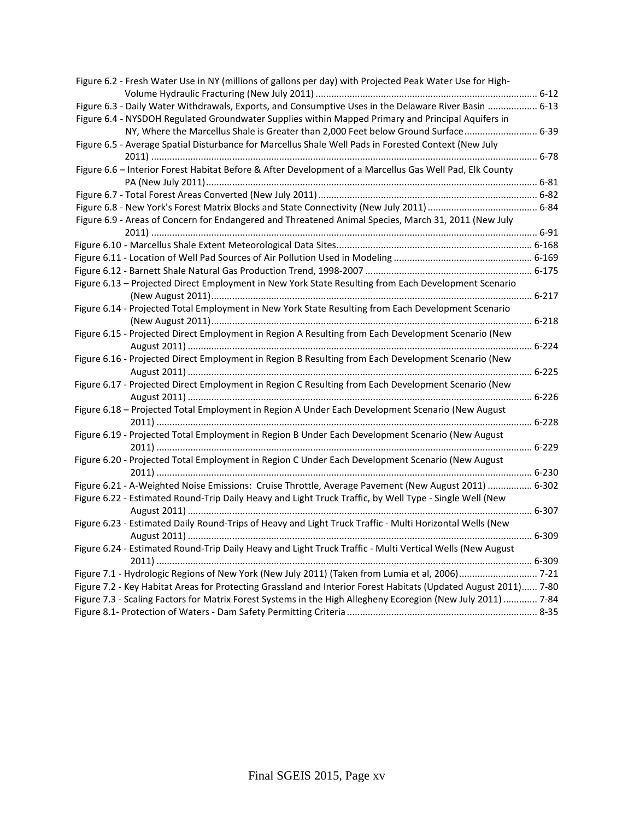| Figure 6.2 - Fresh Water Use in NY (millions of gallons per day) with Projected Peak Water Use for High-        |  |
|-----------------------------------------------------------------------------------------------------------------|--|
|                                                                                                                 |  |
| Figure 6.3 - Daily Water Withdrawals, Exports, and Consumptive Uses in the Delaware River Basin  6-13           |  |
| Figure 6.4 - NYSDOH Regulated Groundwater Supplies within Mapped Primary and Principal Aquifers in              |  |
| NY, Where the Marcellus Shale is Greater than 2,000 Feet below Ground Surface 6-39                              |  |
| Figure 6.5 - Average Spatial Disturbance for Marcellus Shale Well Pads in Forested Context (New July            |  |
|                                                                                                                 |  |
| Figure 6.6 - Interior Forest Habitat Before & After Development of a Marcellus Gas Well Pad, Elk County         |  |
|                                                                                                                 |  |
|                                                                                                                 |  |
|                                                                                                                 |  |
| Figure 6.9 - Areas of Concern for Endangered and Threatened Animal Species, March 31, 2011 (New July            |  |
|                                                                                                                 |  |
|                                                                                                                 |  |
|                                                                                                                 |  |
|                                                                                                                 |  |
| Figure 6.13 - Projected Direct Employment in New York State Resulting from Each Development Scenario            |  |
|                                                                                                                 |  |
| Figure 6.14 - Projected Total Employment in New York State Resulting from Each Development Scenario             |  |
|                                                                                                                 |  |
| Figure 6.15 - Projected Direct Employment in Region A Resulting from Each Development Scenario (New             |  |
|                                                                                                                 |  |
| Figure 6.16 - Projected Direct Employment in Region B Resulting from Each Development Scenario (New             |  |
|                                                                                                                 |  |
| Figure 6.17 - Projected Direct Employment in Region C Resulting from Each Development Scenario (New             |  |
|                                                                                                                 |  |
| Figure 6.18 - Projected Total Employment in Region A Under Each Development Scenario (New August                |  |
| Figure 6.19 - Projected Total Employment in Region B Under Each Development Scenario (New August                |  |
|                                                                                                                 |  |
| Figure 6.20 - Projected Total Employment in Region C Under Each Development Scenario (New August                |  |
|                                                                                                                 |  |
| Figure 6.21 - A-Weighted Noise Emissions: Cruise Throttle, Average Pavement (New August 2011)  6-302            |  |
| Figure 6.22 - Estimated Round-Trip Daily Heavy and Light Truck Traffic, by Well Type - Single Well (New         |  |
|                                                                                                                 |  |
| Figure 6.23 - Estimated Daily Round-Trips of Heavy and Light Truck Traffic - Multi Horizontal Wells (New        |  |
| 6-309                                                                                                           |  |
| Figure 6.24 - Estimated Round-Trip Daily Heavy and Light Truck Traffic - Multi Vertical Wells (New August       |  |
|                                                                                                                 |  |
| Figure 7.1 - Hydrologic Regions of New York (New July 2011) (Taken from Lumia et al, 2006) 7-21                 |  |
| Figure 7.2 - Key Habitat Areas for Protecting Grassland and Interior Forest Habitats (Updated August 2011) 7-80 |  |
| Figure 7.3 - Scaling Factors for Matrix Forest Systems in the High Allegheny Ecoregion (New July 2011)  7-84    |  |
|                                                                                                                 |  |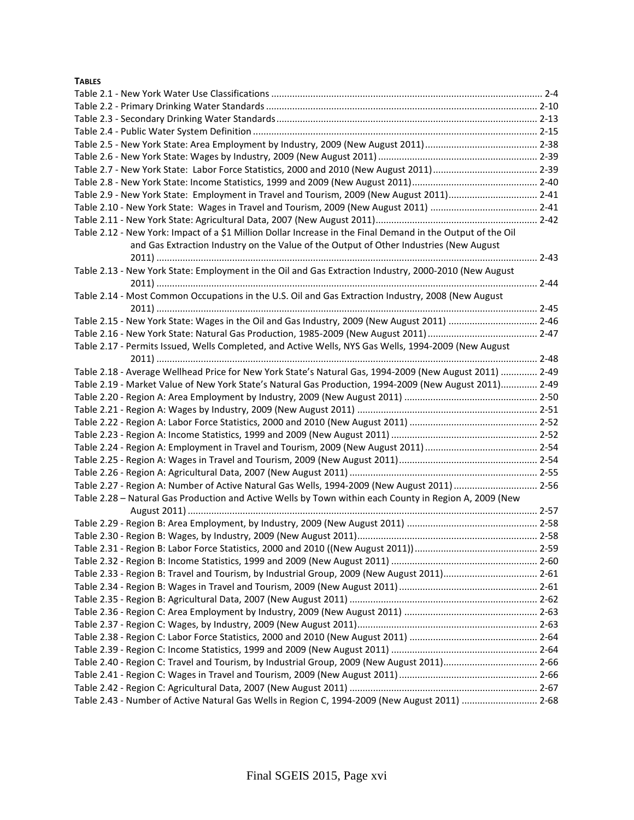# **TABLES**

| Table 2.9 - New York State: Employment in Travel and Tourism, 2009 (New August 2011) 2-41                   |  |
|-------------------------------------------------------------------------------------------------------------|--|
|                                                                                                             |  |
|                                                                                                             |  |
| Table 2.12 - New York: Impact of a \$1 Million Dollar Increase in the Final Demand in the Output of the Oil |  |
| and Gas Extraction Industry on the Value of the Output of Other Industries (New August                      |  |
|                                                                                                             |  |
| Table 2.13 - New York State: Employment in the Oil and Gas Extraction Industry, 2000-2010 (New August       |  |
|                                                                                                             |  |
| Table 2.14 - Most Common Occupations in the U.S. Oil and Gas Extraction Industry, 2008 (New August          |  |
|                                                                                                             |  |
| Table 2.15 - New York State: Wages in the Oil and Gas Industry, 2009 (New August 2011)  2-46                |  |
|                                                                                                             |  |
| Table 2.17 - Permits Issued, Wells Completed, and Active Wells, NYS Gas Wells, 1994-2009 (New August        |  |
|                                                                                                             |  |
| Table 2.18 - Average Wellhead Price for New York State's Natural Gas, 1994-2009 (New August 2011)  2-49     |  |
| Table 2.19 - Market Value of New York State's Natural Gas Production, 1994-2009 (New August 2011) 2-49      |  |
|                                                                                                             |  |
|                                                                                                             |  |
|                                                                                                             |  |
|                                                                                                             |  |
|                                                                                                             |  |
|                                                                                                             |  |
|                                                                                                             |  |
| Table 2.27 - Region A: Number of Active Natural Gas Wells, 1994-2009 (New August 2011)  2-56                |  |
| Table 2.28 - Natural Gas Production and Active Wells by Town within each County in Region A, 2009 (New      |  |
|                                                                                                             |  |
|                                                                                                             |  |
|                                                                                                             |  |
|                                                                                                             |  |
|                                                                                                             |  |
| Table 2.33 - Region B: Travel and Tourism, by Industrial Group, 2009 (New August 2011) 2-61                 |  |
|                                                                                                             |  |
|                                                                                                             |  |
|                                                                                                             |  |
|                                                                                                             |  |
|                                                                                                             |  |
|                                                                                                             |  |
| Table 2.40 - Region C: Travel and Tourism, by Industrial Group, 2009 (New August 2011) 2-66                 |  |
|                                                                                                             |  |
|                                                                                                             |  |
| Table 2.43 - Number of Active Natural Gas Wells in Region C, 1994-2009 (New August 2011)  2-68              |  |
|                                                                                                             |  |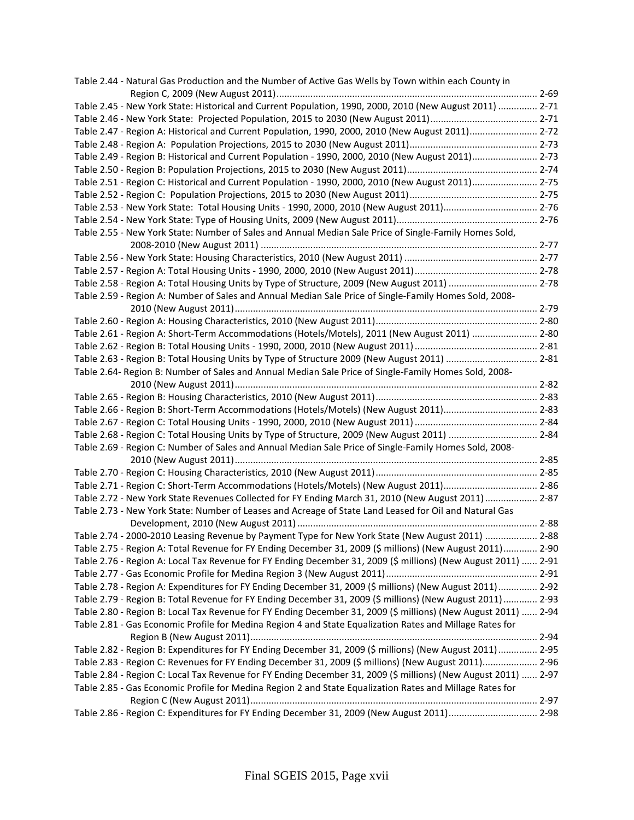| Table 2.44 - Natural Gas Production and the Number of Active Gas Wells by Town within each County in           |  |
|----------------------------------------------------------------------------------------------------------------|--|
|                                                                                                                |  |
| Table 2.45 - New York State: Historical and Current Population, 1990, 2000, 2010 (New August 2011)  2-71       |  |
|                                                                                                                |  |
| Table 2.47 - Region A: Historical and Current Population, 1990, 2000, 2010 (New August 2011) 2-72              |  |
|                                                                                                                |  |
| Table 2.49 - Region B: Historical and Current Population - 1990, 2000, 2010 (New August 2011) 2-73             |  |
|                                                                                                                |  |
| Table 2.51 - Region C: Historical and Current Population - 1990, 2000, 2010 (New August 2011) 2-75             |  |
|                                                                                                                |  |
| Table 2.53 - New York State: Total Housing Units - 1990, 2000, 2010 (New August 2011) 2-76                     |  |
|                                                                                                                |  |
| Table 2.55 - New York State: Number of Sales and Annual Median Sale Price of Single-Family Homes Sold,         |  |
|                                                                                                                |  |
|                                                                                                                |  |
|                                                                                                                |  |
| Table 2.58 - Region A: Total Housing Units by Type of Structure, 2009 (New August 2011)  2-78                  |  |
| Table 2.59 - Region A: Number of Sales and Annual Median Sale Price of Single-Family Homes Sold, 2008-         |  |
|                                                                                                                |  |
|                                                                                                                |  |
| Table 2.61 - Region A: Short-Term Accommodations (Hotels/Motels), 2011 (New August 2011)  2-80                 |  |
|                                                                                                                |  |
| Table 2.63 - Region B: Total Housing Units by Type of Structure 2009 (New August 2011)  2-81                   |  |
| Table 2.64- Region B: Number of Sales and Annual Median Sale Price of Single-Family Homes Sold, 2008-          |  |
|                                                                                                                |  |
|                                                                                                                |  |
| Table 2.66 - Region B: Short-Term Accommodations (Hotels/Motels) (New August 2011) 2-83                        |  |
|                                                                                                                |  |
| Table 2.68 - Region C: Total Housing Units by Type of Structure, 2009 (New August 2011)  2-84                  |  |
| Table 2.69 - Region C: Number of Sales and Annual Median Sale Price of Single-Family Homes Sold, 2008-         |  |
|                                                                                                                |  |
|                                                                                                                |  |
| Table 2.71 - Region C: Short-Term Accommodations (Hotels/Motels) (New August 2011) 2-86                        |  |
| Table 2.72 - New York State Revenues Collected for FY Ending March 31, 2010 (New August 2011)  2-87            |  |
| Table 2.73 - New York State: Number of Leases and Acreage of State Land Leased for Oil and Natural Gas         |  |
|                                                                                                                |  |
| Table 2.74 - 2000-2010 Leasing Revenue by Payment Type for New York State (New August 2011)  2-88              |  |
| Table 2.75 - Region A: Total Revenue for FY Ending December 31, 2009 (\$ millions) (New August 2011) 2-90      |  |
| Table 2.76 - Region A: Local Tax Revenue for FY Ending December 31, 2009 (\$ millions) (New August 2011)  2-91 |  |
|                                                                                                                |  |
| Table 2.78 - Region A: Expenditures for FY Ending December 31, 2009 (\$ millions) (New August 2011)  2-92      |  |
| Table 2.79 - Region B: Total Revenue for FY Ending December 31, 2009 (\$ millions) (New August 2011) 2-93      |  |
| Table 2.80 - Region B: Local Tax Revenue for FY Ending December 31, 2009 (\$ millions) (New August 2011)  2-94 |  |
| Table 2.81 - Gas Economic Profile for Medina Region 4 and State Equalization Rates and Millage Rates for       |  |
|                                                                                                                |  |
| Table 2.82 - Region B: Expenditures for FY Ending December 31, 2009 (\$ millions) (New August 2011)  2-95      |  |
| Table 2.83 - Region C: Revenues for FY Ending December 31, 2009 (\$ millions) (New August 2011) 2-96           |  |
| Table 2.84 - Region C: Local Tax Revenue for FY Ending December 31, 2009 (\$ millions) (New August 2011)  2-97 |  |
| Table 2.85 - Gas Economic Profile for Medina Region 2 and State Equalization Rates and Millage Rates for       |  |
|                                                                                                                |  |
| Table 2.86 - Region C: Expenditures for FY Ending December 31, 2009 (New August 2011) 2-98                     |  |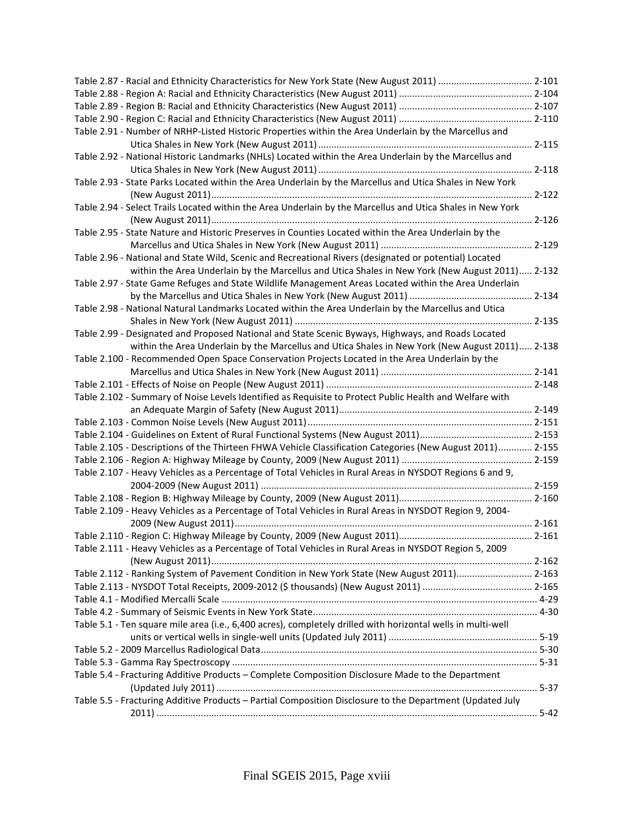| Table 2.91 - Number of NRHP-Listed Historic Properties within the Area Underlain by the Marcellus and        |  |
|--------------------------------------------------------------------------------------------------------------|--|
|                                                                                                              |  |
| Table 2.92 - National Historic Landmarks (NHLs) Located within the Area Underlain by the Marcellus and       |  |
|                                                                                                              |  |
| Table 2.93 - State Parks Located within the Area Underlain by the Marcellus and Utica Shales in New York     |  |
|                                                                                                              |  |
| Table 2.94 - Select Trails Located within the Area Underlain by the Marcellus and Utica Shales in New York   |  |
|                                                                                                              |  |
| Table 2.95 - State Nature and Historic Preserves in Counties Located within the Area Underlain by the        |  |
|                                                                                                              |  |
| Table 2.96 - National and State Wild, Scenic and Recreational Rivers (designated or potential) Located       |  |
| within the Area Underlain by the Marcellus and Utica Shales in New York (New August 2011) 2-132              |  |
| Table 2.97 - State Game Refuges and State Wildlife Management Areas Located within the Area Underlain        |  |
|                                                                                                              |  |
| Table 2.98 - National Natural Landmarks Located within the Area Underlain by the Marcellus and Utica         |  |
|                                                                                                              |  |
| Table 2.99 - Designated and Proposed National and State Scenic Byways, Highways, and Roads Located           |  |
| within the Area Underlain by the Marcellus and Utica Shales in New York (New August 2011) 2-138              |  |
| Table 2.100 - Recommended Open Space Conservation Projects Located in the Area Underlain by the              |  |
|                                                                                                              |  |
|                                                                                                              |  |
| Table 2.102 - Summary of Noise Levels Identified as Requisite to Protect Public Health and Welfare with      |  |
|                                                                                                              |  |
|                                                                                                              |  |
|                                                                                                              |  |
| Table 2.105 - Descriptions of the Thirteen FHWA Vehicle Classification Categories (New August 2011) 2-155    |  |
|                                                                                                              |  |
| Table 2.107 - Heavy Vehicles as a Percentage of Total Vehicles in Rural Areas in NYSDOT Regions 6 and 9,     |  |
|                                                                                                              |  |
|                                                                                                              |  |
| Table 2.109 - Heavy Vehicles as a Percentage of Total Vehicles in Rural Areas in NYSDOT Region 9, 2004-      |  |
|                                                                                                              |  |
|                                                                                                              |  |
| Table 2.111 - Heavy Vehicles as a Percentage of Total Vehicles in Rural Areas in NYSDOT Region 5, 2009       |  |
|                                                                                                              |  |
| Table 2.112 - Ranking System of Pavement Condition in New York State (New August 2011) 2-163                 |  |
|                                                                                                              |  |
|                                                                                                              |  |
|                                                                                                              |  |
| Table 5.1 - Ten square mile area (i.e., 6,400 acres), completely drilled with horizontal wells in multi-well |  |
|                                                                                                              |  |
|                                                                                                              |  |
|                                                                                                              |  |
| Table 5.4 - Fracturing Additive Products - Complete Composition Disclosure Made to the Department            |  |
|                                                                                                              |  |
| Table 5.5 - Fracturing Additive Products - Partial Composition Disclosure to the Department (Updated July    |  |
|                                                                                                              |  |
|                                                                                                              |  |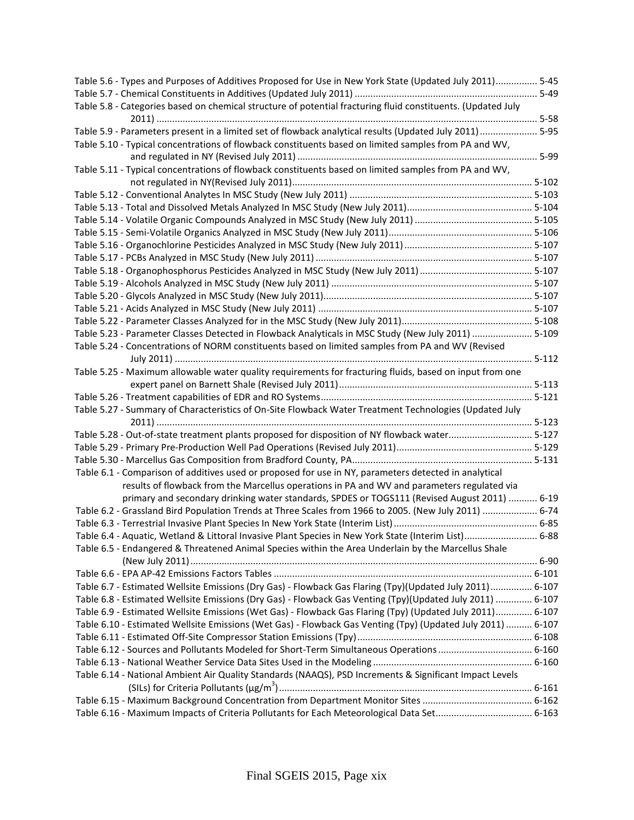| Table 5.6 - Types and Purposes of Additives Proposed for Use in New York State (Updated July 2011) 5-45                                                                                                                |  |
|------------------------------------------------------------------------------------------------------------------------------------------------------------------------------------------------------------------------|--|
|                                                                                                                                                                                                                        |  |
| Table 5.8 - Categories based on chemical structure of potential fracturing fluid constituents. (Updated July                                                                                                           |  |
|                                                                                                                                                                                                                        |  |
| Table 5.9 - Parameters present in a limited set of flowback analytical results (Updated July 2011)  5-95                                                                                                               |  |
| Table 5.10 - Typical concentrations of flowback constituents based on limited samples from PA and WV,                                                                                                                  |  |
|                                                                                                                                                                                                                        |  |
| Table 5.11 - Typical concentrations of flowback constituents based on limited samples from PA and WV,                                                                                                                  |  |
|                                                                                                                                                                                                                        |  |
|                                                                                                                                                                                                                        |  |
|                                                                                                                                                                                                                        |  |
|                                                                                                                                                                                                                        |  |
|                                                                                                                                                                                                                        |  |
|                                                                                                                                                                                                                        |  |
|                                                                                                                                                                                                                        |  |
|                                                                                                                                                                                                                        |  |
|                                                                                                                                                                                                                        |  |
|                                                                                                                                                                                                                        |  |
|                                                                                                                                                                                                                        |  |
|                                                                                                                                                                                                                        |  |
| Table 5.23 - Parameter Classes Detected in Flowback Analyticals in MSC Study (New July 2011)  5-109                                                                                                                    |  |
| Table 5.24 - Concentrations of NORM constituents based on limited samples from PA and WV (Revised                                                                                                                      |  |
|                                                                                                                                                                                                                        |  |
| Table 5.25 - Maximum allowable water quality requirements for fracturing fluids, based on input from one                                                                                                               |  |
|                                                                                                                                                                                                                        |  |
|                                                                                                                                                                                                                        |  |
| Table 5.27 - Summary of Characteristics of On-Site Flowback Water Treatment Technologies (Updated July                                                                                                                 |  |
|                                                                                                                                                                                                                        |  |
| Table 5.28 - Out-of-state treatment plants proposed for disposition of NY flowback water 5-127                                                                                                                         |  |
|                                                                                                                                                                                                                        |  |
|                                                                                                                                                                                                                        |  |
| Table 6.1 - Comparison of additives used or proposed for use in NY, parameters detected in analytical                                                                                                                  |  |
| results of flowback from the Marcellus operations in PA and WV and parameters regulated via                                                                                                                            |  |
| primary and secondary drinking water standards, SPDES or TOGS111 (Revised August 2011)  6-19                                                                                                                           |  |
| Table 6.2 - Grassland Bird Population Trends at Three Scales from 1966 to 2005. (New July 2011)  6-74                                                                                                                  |  |
|                                                                                                                                                                                                                        |  |
| Table 6.4 - Aquatic, Wetland & Littoral Invasive Plant Species in New York State (Interim List) 6-88                                                                                                                   |  |
| Table 6.5 - Endangered & Threatened Animal Species within the Area Underlain by the Marcellus Shale                                                                                                                    |  |
|                                                                                                                                                                                                                        |  |
|                                                                                                                                                                                                                        |  |
| Table 6.7 - Estimated Wellsite Emissions (Dry Gas) - Flowback Gas Flaring (Tpy)(Updated July 2011) 6-107                                                                                                               |  |
|                                                                                                                                                                                                                        |  |
| Table 6.8 - Estimated Wellsite Emissions (Dry Gas) - Flowback Gas Venting (Tpy)(Updated July 2011)  6-107<br>Table 6.9 - Estimated Wellsite Emissions (Wet Gas) - Flowback Gas Flaring (Tpy) (Updated July 2011) 6-107 |  |
|                                                                                                                                                                                                                        |  |
| Table 6.10 - Estimated Wellsite Emissions (Wet Gas) - Flowback Gas Venting (Tpy) (Updated July 2011)  6-107                                                                                                            |  |
|                                                                                                                                                                                                                        |  |
| Table 6.12 - Sources and Pollutants Modeled for Short-Term Simultaneous Operations  6-160                                                                                                                              |  |
|                                                                                                                                                                                                                        |  |
| Table 6.14 - National Ambient Air Quality Standards (NAAQS), PSD Increments & Significant Impact Levels                                                                                                                |  |
|                                                                                                                                                                                                                        |  |
|                                                                                                                                                                                                                        |  |
| Table 6.16 - Maximum Impacts of Criteria Pollutants for Each Meteorological Data Set 6-163                                                                                                                             |  |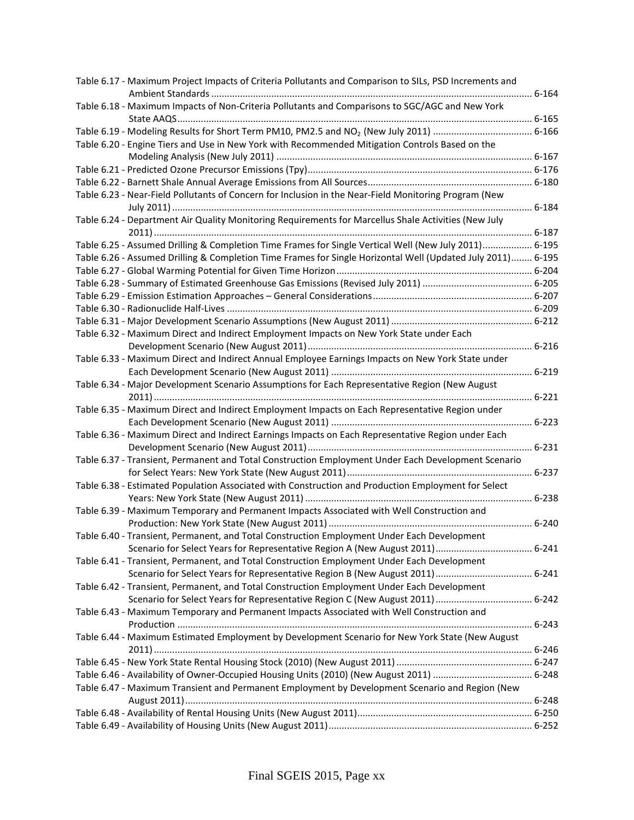| Table 6.17 - Maximum Project Impacts of Criteria Pollutants and Comparison to SILs, PSD Increments and      |  |
|-------------------------------------------------------------------------------------------------------------|--|
| Table 6.18 - Maximum Impacts of Non-Criteria Pollutants and Comparisons to SGC/AGC and New York             |  |
|                                                                                                             |  |
|                                                                                                             |  |
| Table 6.20 - Engine Tiers and Use in New York with Recommended Mitigation Controls Based on the             |  |
|                                                                                                             |  |
|                                                                                                             |  |
| Table 6.23 - Near-Field Pollutants of Concern for Inclusion in the Near-Field Monitoring Program (New       |  |
|                                                                                                             |  |
| Table 6.24 - Department Air Quality Monitoring Requirements for Marcellus Shale Activities (New July        |  |
| Table 6.25 - Assumed Drilling & Completion Time Frames for Single Vertical Well (New July 2011) 6-195       |  |
| Table 6.26 - Assumed Drilling & Completion Time Frames for Single Horizontal Well (Updated July 2011) 6-195 |  |
|                                                                                                             |  |
|                                                                                                             |  |
|                                                                                                             |  |
|                                                                                                             |  |
|                                                                                                             |  |
| Table 6.32 - Maximum Direct and Indirect Employment Impacts on New York State under Each                    |  |
|                                                                                                             |  |
| Table 6.33 - Maximum Direct and Indirect Annual Employee Earnings Impacts on New York State under           |  |
|                                                                                                             |  |
| Table 6.34 - Major Development Scenario Assumptions for Each Representative Region (New August              |  |
|                                                                                                             |  |
| Table 6.35 - Maximum Direct and Indirect Employment Impacts on Each Representative Region under             |  |
|                                                                                                             |  |
| Table 6.36 - Maximum Direct and Indirect Earnings Impacts on Each Representative Region under Each          |  |
|                                                                                                             |  |
| Table 6.37 - Transient, Permanent and Total Construction Employment Under Each Development Scenario         |  |
|                                                                                                             |  |
| Table 6.38 - Estimated Population Associated with Construction and Production Employment for Select         |  |
|                                                                                                             |  |
| Table 6.39 - Maximum Temporary and Permanent Impacts Associated with Well Construction and                  |  |
|                                                                                                             |  |
| Table 6.40 - Transient, Permanent, and Total Construction Employment Under Each Development                 |  |
|                                                                                                             |  |
| Table 6.41 - Transient, Permanent, and Total Construction Employment Under Each Development                 |  |
|                                                                                                             |  |
| Table 6.42 - Transient, Permanent, and Total Construction Employment Under Each Development                 |  |
|                                                                                                             |  |
| Table 6.43 - Maximum Temporary and Permanent Impacts Associated with Well Construction and                  |  |
|                                                                                                             |  |
| Table 6.44 - Maximum Estimated Employment by Development Scenario for New York State (New August            |  |
|                                                                                                             |  |
|                                                                                                             |  |
|                                                                                                             |  |
| Table 6.47 - Maximum Transient and Permanent Employment by Development Scenario and Region (New             |  |
|                                                                                                             |  |
|                                                                                                             |  |
|                                                                                                             |  |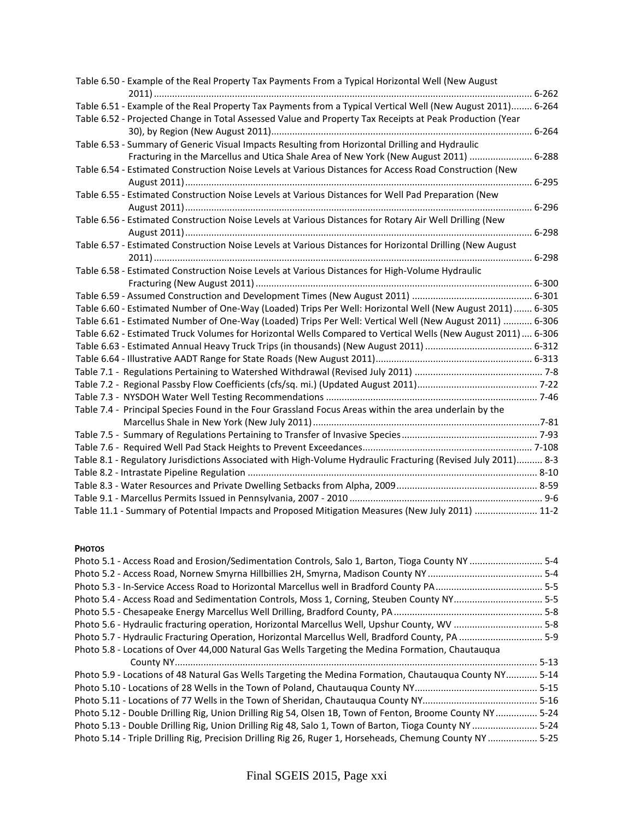| Table 6.50 - Example of the Real Property Tax Payments From a Typical Horizontal Well (New August             |  |
|---------------------------------------------------------------------------------------------------------------|--|
| Table 6.51 - Example of the Real Property Tax Payments from a Typical Vertical Well (New August 2011) 6-264   |  |
| Table 6.52 - Projected Change in Total Assessed Value and Property Tax Receipts at Peak Production (Year      |  |
| Table 6.53 - Summary of Generic Visual Impacts Resulting from Horizontal Drilling and Hydraulic               |  |
| Fracturing in the Marcellus and Utica Shale Area of New York (New August 2011)  6-288                         |  |
| Table 6.54 - Estimated Construction Noise Levels at Various Distances for Access Road Construction (New       |  |
|                                                                                                               |  |
| Table 6.55 - Estimated Construction Noise Levels at Various Distances for Well Pad Preparation (New           |  |
| Table 6.56 - Estimated Construction Noise Levels at Various Distances for Rotary Air Well Drilling (New       |  |
|                                                                                                               |  |
| Table 6.57 - Estimated Construction Noise Levels at Various Distances for Horizontal Drilling (New August     |  |
|                                                                                                               |  |
| Table 6.58 - Estimated Construction Noise Levels at Various Distances for High-Volume Hydraulic               |  |
|                                                                                                               |  |
|                                                                                                               |  |
| Table 6.60 - Estimated Number of One-Way (Loaded) Trips Per Well: Horizontal Well (New August 2011)  6-305    |  |
| Table 6.61 - Estimated Number of One-Way (Loaded) Trips Per Well: Vertical Well (New August 2011)  6-306      |  |
| Table 6.62 - Estimated Truck Volumes for Horizontal Wells Compared to Vertical Wells (New August 2011)  6-306 |  |
|                                                                                                               |  |
|                                                                                                               |  |
|                                                                                                               |  |
|                                                                                                               |  |
|                                                                                                               |  |
| Table 7.4 - Principal Species Found in the Four Grassland Focus Areas within the area underlain by the        |  |
|                                                                                                               |  |
|                                                                                                               |  |
|                                                                                                               |  |
| Table 8.1 - Regulatory Jurisdictions Associated with High-Volume Hydraulic Fracturing (Revised July 2011) 8-3 |  |
|                                                                                                               |  |
|                                                                                                               |  |
|                                                                                                               |  |
| Table 11.1 - Summary of Potential Impacts and Proposed Mitigation Measures (New July 2011)  11-2              |  |

## **PHOTOS**

| Photo 5.1 - Access Road and Erosion/Sedimentation Controls, Salo 1, Barton, Tioga County NY  5-4         |          |
|----------------------------------------------------------------------------------------------------------|----------|
|                                                                                                          |          |
|                                                                                                          |          |
| Photo 5.4 - Access Road and Sedimentation Controls, Moss 1, Corning, Steuben County NY 5-5               |          |
|                                                                                                          |          |
| Photo 5.6 - Hydraulic fracturing operation, Horizontal Marcellus Well, Upshur County, WV  5-8            |          |
| Photo 5.7 - Hydraulic Fracturing Operation, Horizontal Marcellus Well, Bradford County, PA  5-9          |          |
| Photo 5.8 - Locations of Over 44,000 Natural Gas Wells Targeting the Medina Formation, Chautauqua        |          |
|                                                                                                          | $5 - 13$ |
| Photo 5.9 - Locations of 48 Natural Gas Wells Targeting the Medina Formation, Chautauqua County NY 5-14  |          |
|                                                                                                          | $5 - 15$ |
|                                                                                                          |          |
| Photo 5.12 - Double Drilling Rig, Union Drilling Rig 54, Olsen 1B, Town of Fenton, Broome County NY 5-24 |          |
| Photo 5.13 - Double Drilling Rig, Union Drilling Rig 48, Salo 1, Town of Barton, Tioga County NY  5-24   |          |
| Photo 5.14 - Triple Drilling Rig, Precision Drilling Rig 26, Ruger 1, Horseheads, Chemung County NY 5-25 |          |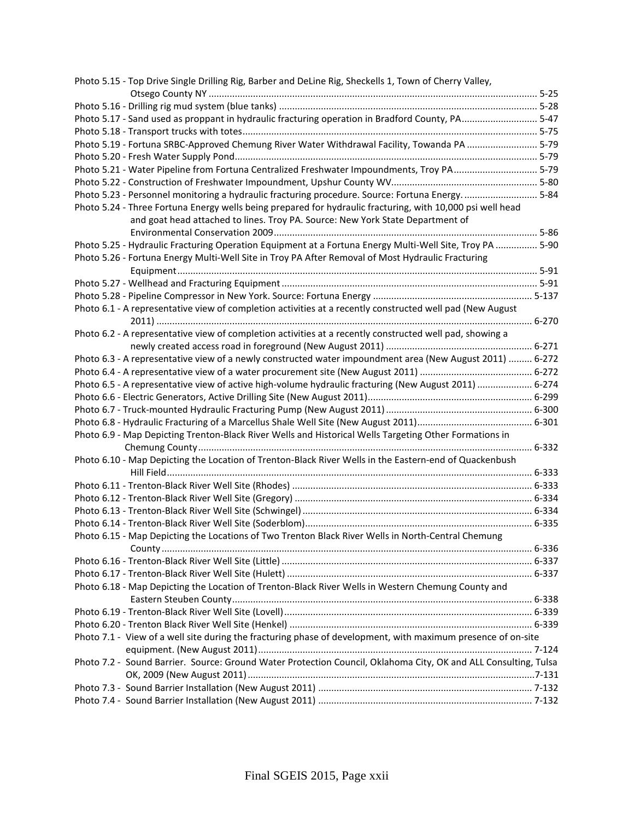| Photo 5.15 - Top Drive Single Drilling Rig, Barber and DeLine Rig, Sheckells 1, Town of Cherry Valley,          |  |
|-----------------------------------------------------------------------------------------------------------------|--|
|                                                                                                                 |  |
|                                                                                                                 |  |
| Photo 5.17 - Sand used as proppant in hydraulic fracturing operation in Bradford County, PA 5-47                |  |
|                                                                                                                 |  |
| Photo 5.19 - Fortuna SRBC-Approved Chemung River Water Withdrawal Facility, Towanda PA  5-79                    |  |
|                                                                                                                 |  |
| Photo 5.21 - Water Pipeline from Fortuna Centralized Freshwater Impoundments, Troy PA 5-79                      |  |
|                                                                                                                 |  |
| Photo 5.23 - Personnel monitoring a hydraulic fracturing procedure. Source: Fortuna Energy 5-84                 |  |
| Photo 5.24 - Three Fortuna Energy wells being prepared for hydraulic fracturing, with 10,000 psi well head      |  |
| and goat head attached to lines. Troy PA. Source: New York State Department of                                  |  |
|                                                                                                                 |  |
| Photo 5.25 - Hydraulic Fracturing Operation Equipment at a Fortuna Energy Multi-Well Site, Troy PA  5-90        |  |
| Photo 5.26 - Fortuna Energy Multi-Well Site in Troy PA After Removal of Most Hydraulic Fracturing               |  |
|                                                                                                                 |  |
|                                                                                                                 |  |
|                                                                                                                 |  |
| Photo 6.1 - A representative view of completion activities at a recently constructed well pad (New August       |  |
|                                                                                                                 |  |
| Photo 6.2 - A representative view of completion activities at a recently constructed well pad, showing a        |  |
|                                                                                                                 |  |
| Photo 6.3 - A representative view of a newly constructed water impoundment area (New August 2011)  6-272        |  |
|                                                                                                                 |  |
| Photo 6.5 - A representative view of active high-volume hydraulic fracturing (New August 2011)  6-274           |  |
|                                                                                                                 |  |
|                                                                                                                 |  |
|                                                                                                                 |  |
| Photo 6.9 - Map Depicting Trenton-Black River Wells and Historical Wells Targeting Other Formations in          |  |
|                                                                                                                 |  |
| Photo 6.10 - Map Depicting the Location of Trenton-Black River Wells in the Eastern-end of Quackenbush          |  |
|                                                                                                                 |  |
|                                                                                                                 |  |
|                                                                                                                 |  |
|                                                                                                                 |  |
|                                                                                                                 |  |
| Photo 6.15 - Map Depicting the Locations of Two Trenton Black River Wells in North-Central Chemung              |  |
|                                                                                                                 |  |
|                                                                                                                 |  |
|                                                                                                                 |  |
| Photo 6.18 - Map Depicting the Location of Trenton-Black River Wells in Western Chemung County and              |  |
|                                                                                                                 |  |
|                                                                                                                 |  |
|                                                                                                                 |  |
| Photo 7.1 - View of a well site during the fracturing phase of development, with maximum presence of on-site    |  |
|                                                                                                                 |  |
| Photo 7.2 - Sound Barrier. Source: Ground Water Protection Council, Oklahoma City, OK and ALL Consulting, Tulsa |  |
|                                                                                                                 |  |
|                                                                                                                 |  |
|                                                                                                                 |  |
|                                                                                                                 |  |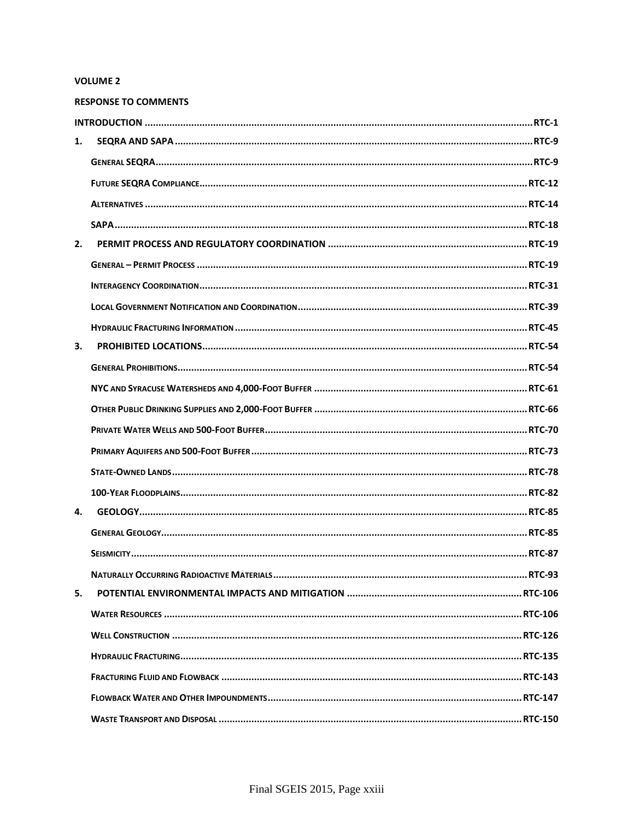# **VOLUME 2**

|    | <b>RESPONSE TO COMMENTS</b> |
|----|-----------------------------|
|    |                             |
| 1. |                             |
|    |                             |
|    |                             |
|    |                             |
|    |                             |
| 2. |                             |
|    |                             |
|    |                             |
|    |                             |
|    |                             |
| 3. |                             |
|    |                             |
|    |                             |
|    |                             |
|    |                             |
|    |                             |
|    |                             |
|    |                             |
| 4. |                             |
|    |                             |
|    |                             |
|    |                             |
| 5. |                             |
|    |                             |
|    |                             |
|    |                             |
|    |                             |
|    |                             |
|    |                             |
|    |                             |